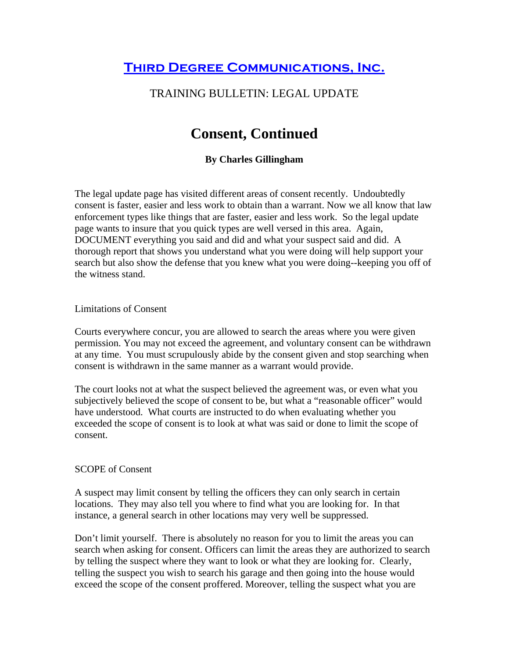**THIRD DEGREE COMMUNICATIONS, INC.** 

# TRAINING BULLETIN: LEGAL UPDATE

# **Consent, Continued**

## **By Charles Gillingham**

The legal update page has visited different areas of consent recently. Undoubtedly consent is faster, easier and less work to obtain than a warrant. Now we all know that law enforcement types like things that are faster, easier and less work. So the legal update page wants to insure that you quick types are well versed in this area. Again, DOCUMENT everything you said and did and what your suspect said and did. A thorough report that shows you understand what you were doing will help support your search but also show the defense that you knew what you were doing--keeping you off of the witness stand.

#### Limitations of Consent

Courts everywhere concur, you are allowed to search the areas where you were given permission. You may not exceed the agreement, and voluntary consent can be withdrawn at any time. You must scrupulously abide by the consent given and stop searching when consent is withdrawn in the same manner as a warrant would provide.

The court looks not at what the suspect believed the agreement was, or even what you subjectively believed the scope of consent to be, but what a "reasonable officer" would have understood. What courts are instructed to do when evaluating whether you exceeded the scope of consent is to look at what was said or done to limit the scope of consent.

#### SCOPE of Consent

A suspect may limit consent by telling the officers they can only search in certain locations. They may also tell you where to find what you are looking for. In that instance, a general search in other locations may very well be suppressed.

Don't limit yourself. There is absolutely no reason for you to limit the areas you can search when asking for consent. Officers can limit the areas they are authorized to search by telling the suspect where they want to look or what they are looking for. Clearly, telling the suspect you wish to search his garage and then going into the house would exceed the scope of the consent proffered. Moreover, telling the suspect what you are